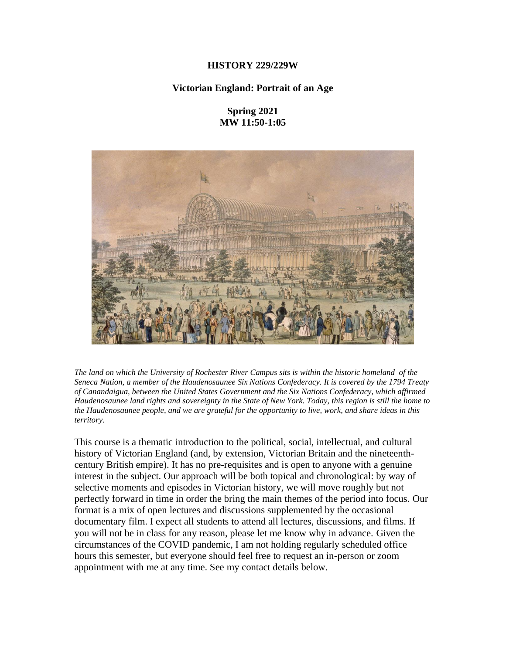## **HISTORY 229/229W**

## **Victorian England: Portrait of an Age**

# **Spring 2021 MW 11:50-1:05**



The land on which the University of Rochester River Campus sits is within the historic homeland of the *Seneca Nation, a member of the Haudenosaunee Six Nations Confederacy. It is covered by the 1794 Treaty of Canandaigua, between the United States Government and the Six Nations Confederacy, which affirmed* Haudenosaunee land rights and sovereignty in the State of New York. Today, this region is still the home to the Haudenosaunee people, and we are grateful for the opportunity to live, work, and share ideas in this *territory.*

This course is a thematic introduction to the political, social, intellectual, and cultural history of Victorian England (and, by extension, Victorian Britain and the nineteenthcentury British empire). It has no pre-requisites and is open to anyone with a genuine interest in the subject. Our approach will be both topical and chronological: by way of selective moments and episodes in Victorian history, we will move roughly but not perfectly forward in time in order the bring the main themes of the period into focus. Our format is a mix of open lectures and discussions supplemented by the occasional documentary film. I expect all students to attend all lectures, discussions, and films. If you will not be in class for any reason, please let me know why in advance. Given the circumstances of the COVID pandemic, I am not holding regularly scheduled office hours this semester, but everyone should feel free to request an in-person or zoom appointment with me at any time. See my contact details below.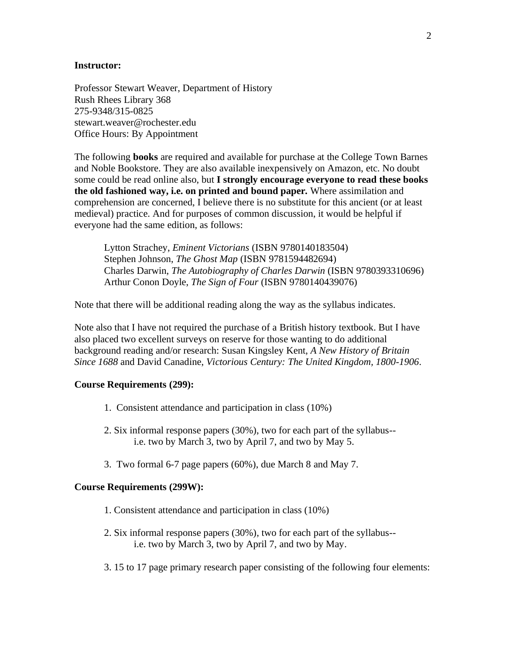### **Instructor:**

Professor Stewart Weaver, Department of History Rush Rhees Library 368 275-9348/315-0825 stewart.weaver@rochester.edu Office Hours: By Appointment

The following **books** are required and available for purchase at the College Town Barnes and Noble Bookstore. They are also available inexpensively on Amazon, etc. No doubt some could be read online also, but **I strongly encourage everyone to read these books the old fashioned way, i.e. on printed and bound paper***.* Where assimilation and comprehension are concerned, I believe there is no substitute for this ancient (or at least medieval) practice. And for purposes of common discussion, it would be helpful if everyone had the same edition, as follows:

Lytton Strachey, *Eminent Victorians* (ISBN 9780140183504) Stephen Johnson, *The Ghost Map* (ISBN 9781594482694) Charles Darwin, *The Autobiography of Charles Darwin* (ISBN 9780393310696) Arthur Conon Doyle, *The Sign of Four* (ISBN 9780140439076)

Note that there will be additional reading along the way as the syllabus indicates.

Note also that I have not required the purchase of a British history textbook. But I have also placed two excellent surveys on reserve for those wanting to do additional background reading and/or research: Susan Kingsley Kent, *A New History of Britain Since 1688* and David Canadine, *Victorious Century: The United Kingdom, 1800-1906*.

### **Course Requirements (299):**

- 1. Consistent attendance and participation in class (10%)
- 2. Six informal response papers (30%), two for each part of the syllabus- i.e. two by March 3, two by April 7, and two by May 5.
- 3. Two formal 6-7 page papers (60%), due March 8 and May 7.

### **Course Requirements (299W):**

- 1. Consistent attendance and participation in class (10%)
- 2. Six informal response papers (30%), two for each part of the syllabus- i.e. two by March 3, two by April 7, and two by May.
- 3. 15 to 17 page primary research paper consisting of the following four elements: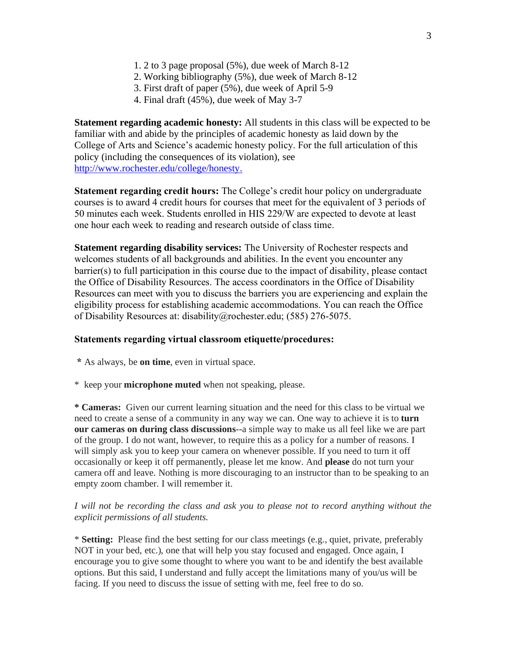- 1. 2 to 3 page proposal (5%), due week of March 8-12
- 2. Working bibliography (5%), due week of March 8-12
- 3. First draft of paper (5%), due week of April 5-9
- 4. Final draft (45%), due week of May 3-7

**Statement regarding academic honesty:** All students in this class will be expected to be familiar with and abide by the principles of academic honesty as laid down by the College of Arts and Science's academic honesty policy. For the full articulation of this policy (including the consequences of its violation), see [http://www.rochester.edu/college/honesty.](http://www.rochester.edu/college/honesty)

**Statement regarding credit hours:** The College's credit hour policy on undergraduate courses is to award 4 credit hours for courses that meet for the equivalent of 3 periods of 50 minutes each week. Students enrolled in HIS 229/W are expected to devote at least one hour each week to reading and research outside of class time.

**Statement regarding disability services:** The University of Rochester respects and welcomes students of all backgrounds and abilities. In the event you encounter any barrier(s) to full participation in this course due to the impact of disability, please contact the Office of Disability Resources. The access coordinators in the Office of Disability Resources can meet with you to discuss the barriers you are experiencing and explain the eligibility process for establishing academic accommodations. You can reach the Office of Disability Resources at: disability@rochester.edu; (585) 276-5075.

### **Statements regarding virtual classroom etiquette/procedures:**

- **\*** As always, be **on time**, even in virtual space.
- \* keep your **microphone muted** when not speaking, please.

**\* Cameras:** Given our current learning situation and the need for this class to be virtual we need to create a sense of a community in any way we can. One way to achieve it is to **turn our cameras on during class discussions**--a simple way to make us all feel like we are part of the group. I do not want, however, to require this as a policy for a number of reasons. I will simply ask you to keep your camera on whenever possible. If you need to turn it off occasionally or keep it off permanently, please let me know. And **please** do not turn your camera off and leave. Nothing is more discouraging to an instructor than to be speaking to an empty zoom chamber. I will remember it.

## *I will not be recording the class and ask you to please not to record anything without the explicit permissions of all students.*

\* **Setting:** Please find the best setting for our class meetings (e.g., quiet, private, preferably NOT in your bed, etc.), one that will help you stay focused and engaged. Once again, I encourage you to give some thought to where you want to be and identify the best available options. But this said, I understand and fully accept the limitations many of you/us will be facing. If you need to discuss the issue of setting with me, feel free to do so.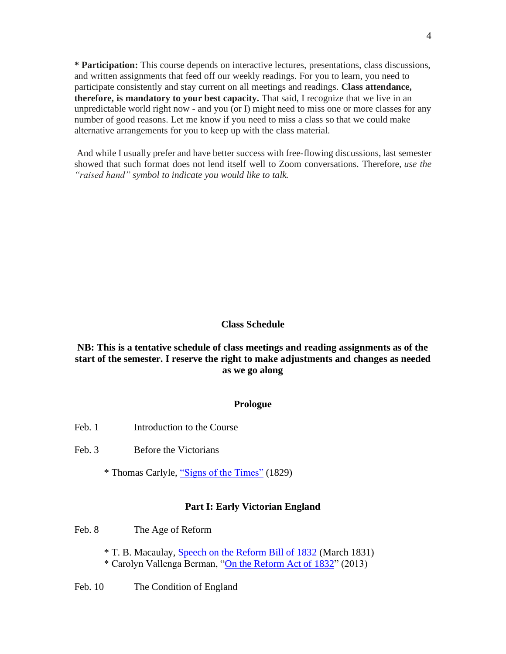**\* Participation:** This course depends on interactive lectures, presentations, class discussions, and written assignments that feed off our weekly readings. For you to learn, you need to participate consistently and stay current on all meetings and readings. **Class attendance, therefore, is mandatory to your best capacity.** That said, I recognize that we live in an unpredictable world right now - and you (or I) might need to miss one or more classes for any number of good reasons. Let me know if you need to miss a class so that we could make alternative arrangements for you to keep up with the class material.

And while I usually prefer and have better success with free-flowing discussions, last semester showed that such format does not lend itself well to Zoom conversations. Therefore, *use the "raised hand" symbol to indicate you would like to talk.*

## **Class Schedule**

# **NB: This is a tentative schedule of class meetings and reading assignments as of the start of the semester. I reserve the right to make adjustments and changes as needed as we go along**

### **Prologue**

- Feb. 1 Introduction to the Course
- Feb. 3 Before the Victorians
	- \* Thomas Carlyle, ["Signs of the Times"](https://pdcrodas.webs.ull.es/anglo/CarlyleSignsOfTheTimes.pdf) (1829)

#### **Part I: Early Victorian England**

Feb. 8 The Age of Reform

- \* T. B. Macaulay, [Speech on the Reform Bill of 1832](https://sourcebooks.fordham.edu/mod/1832macaulay-reform.asp) (March 1831) \* Carolyn Vallenga Berman, ["On the Reform Act of 1832"](http://www.branchcollective.org/?ps_articles=carolyn-vellenga-berman-on-the-reform-act-of-1832) (2013)
- Feb. 10 The Condition of England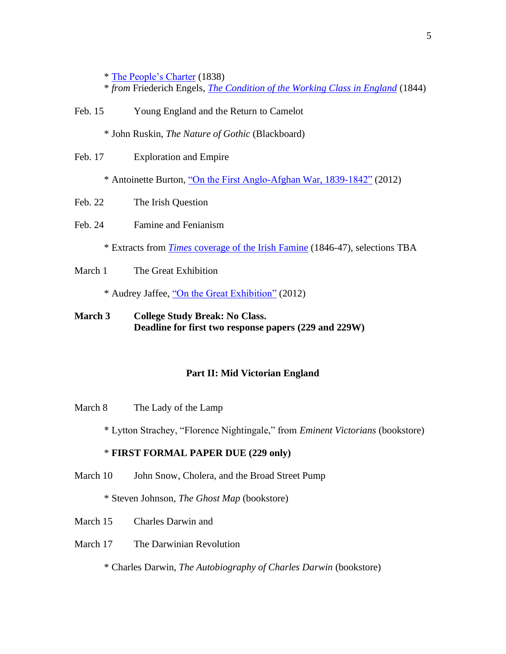\* [The People's Charter](https://sourcebooks.fordham.edu/mod/1838chartism.asp) (1838)

- \* *from* Friederich Engels, *[The Condition of the Working Class in England](https://sourcebooks.fordham.edu/mod/1844engels.asp)* (1844)
- Feb. 15 Young England and the Return to Camelot

\* John Ruskin, *The Nature of Gothic* (Blackboard)

Feb. 17 Exploration and Empire

\* Antoinette Burton, ["On the First Anglo-Afghan War, 1839-1842"](http://www.branchcollective.org/?ps_articles=antoinette-burton-on-the-first-anglo-afghan-war-1839-42-spectacle-of-disaster) (2012)

- Feb. 22 The Irish Question
- Feb. 24 Famine and Fenianism

\* Extracts from *Times* [coverage of the Irish Famine](http://xroads.virginia.edu/~Hyper/SADLIER/IRISH/Times.htm) (1846-47), selections TBA

March 1 The Great Exhibition

\* Audrey Jaffee, ["On the Great Exhibition"](http://www.branchcollective.org/?ps_articles=audrey-jaffe-on-the-great-exhibition) (2012)

# **March 3 College Study Break: No Class. Deadline for first two response papers (229 and 229W)**

### **Part II: Mid Victorian England**

March 8 The Lady of the Lamp

\* Lytton Strachey, "Florence Nightingale," from *Eminent Victorians* (bookstore)

# \* **FIRST FORMAL PAPER DUE (229 only)**

March 10 John Snow, Cholera, and the Broad Street Pump

\* Steven Johnson, *The Ghost Map* (bookstore)

- March 15 Charles Darwin and
- March 17 The Darwinian Revolution

\* Charles Darwin, *The Autobiography of Charles Darwin* (bookstore)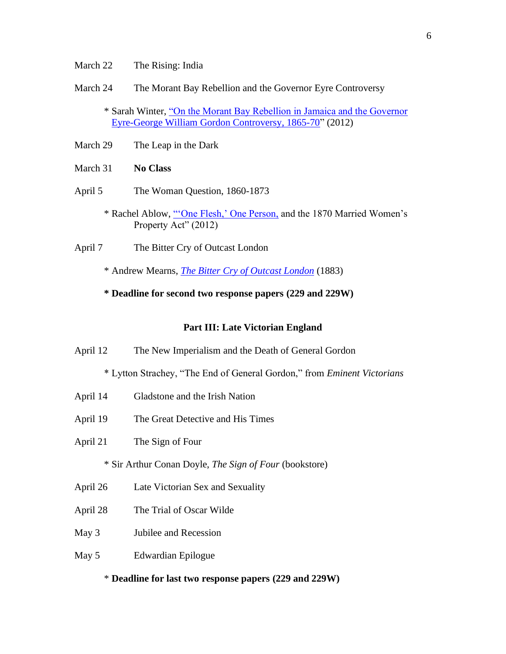- March 22 The Rising: India
- March 24 The Morant Bay Rebellion and the Governor Eyre Controversy

\* Sarah Winter, ["On the Morant Bay Rebellion in Jamaica and the Governor](http://www.branchcollective.org/?ps_articles=sarah-winter-on-the-morant-bay-rebellion-in-jamaica-and-the-governor-eyre-george-william-gordon-controversy-1865-70)  [Eyre-George William Gordon Controversy, 1865-70"](http://www.branchcollective.org/?ps_articles=sarah-winter-on-the-morant-bay-rebellion-in-jamaica-and-the-governor-eyre-george-william-gordon-controversy-1865-70) (2012)

- March 29 The Leap in the Dark
- March 31 **No Class**
- April 5 The Woman Question, 1860-1873
	- \* Rachel Ablow, ["'One Flesh,' One Person,](http://www.branchcollective.org/?ps_articles=rachel-ablow-one-flesh-one-person-and-the-1870-married-womens-property-act) and the 1870 Married Women's Property Act" (2012)
- April 7 The Bitter Cry of Outcast London
	- \* Andrew Mearns, *[The Bitter Cry of Outcast London](http://www.gutenberg.org/files/55316/55316-h/55316-h.htm)* (1883)
	- **\* Deadline for second two response papers (229 and 229W)**

#### **Part III: Late Victorian England**

April 12 The New Imperialism and the Death of General Gordon

\* Lytton Strachey, "The End of General Gordon," from *Eminent Victorians*

- April 14 Gladstone and the Irish Nation
- April 19 The Great Detective and His Times
- April 21 The Sign of Four

\* Sir Arthur Conan Doyle, *The Sign of Four* (bookstore)

- April 26 Late Victorian Sex and Sexuality
- April 28 The Trial of Oscar Wilde
- May 3 Jubilee and Recession
- May 5 Edwardian Epilogue

### \* **Deadline for last two response papers (229 and 229W)**